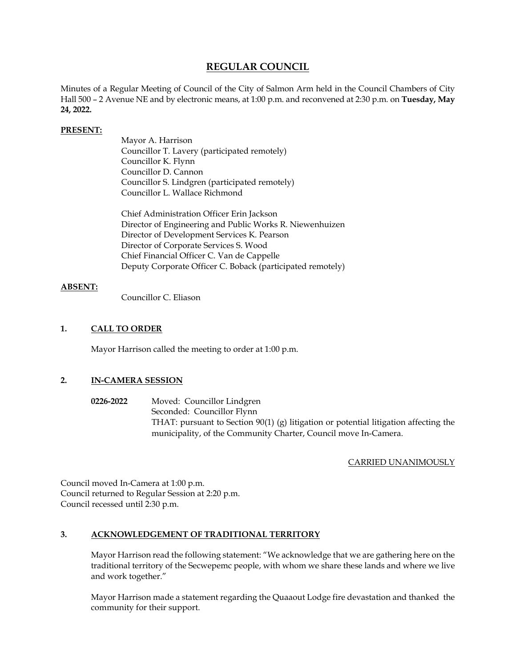## **REGULAR COUNCIL**

Minutes of a Regular Meeting of Council of the City of Salmon Arm held in the Council Chambers of City Hall 500 – 2 Avenue NE and by electronic means, at 1:00 p.m. and reconvened at 2:30 p.m. on **Tuesday, May 24, 2022.** 

#### **PRESENT:**

Mayor A. Harrison Councillor T. Lavery (participated remotely) Councillor K. Flynn Councillor D. Cannon Councillor S. Lindgren (participated remotely) Councillor L. Wallace Richmond

Chief Administration Officer Erin Jackson Director of Engineering and Public Works R. Niewenhuizen Director of Development Services K. Pearson Director of Corporate Services S. Wood Chief Financial Officer C. Van de Cappelle Deputy Corporate Officer C. Boback (participated remotely)

#### **ABSENT:**

Councillor C. Eliason

#### **1. CALL TO ORDER**

Mayor Harrison called the meeting to order at 1:00 p.m.

## **2. IN-CAMERA SESSION**

**0226-2022** Moved: Councillor Lindgren Seconded: Councillor Flynn THAT: pursuant to Section 90(1) (g) litigation or potential litigation affecting the municipality, of the Community Charter, Council move In-Camera.

## CARRIED UNANIMOUSLY

Council moved In-Camera at 1:00 p.m. Council returned to Regular Session at 2:20 p.m. Council recessed until 2:30 p.m.

#### **3. ACKNOWLEDGEMENT OF TRADITIONAL TERRITORY**

Mayor Harrison read the following statement: "We acknowledge that we are gathering here on the traditional territory of the Secwepemc people, with whom we share these lands and where we live and work together."

Mayor Harrison made a statement regarding the Quaaout Lodge fire devastation and thanked the community for their support.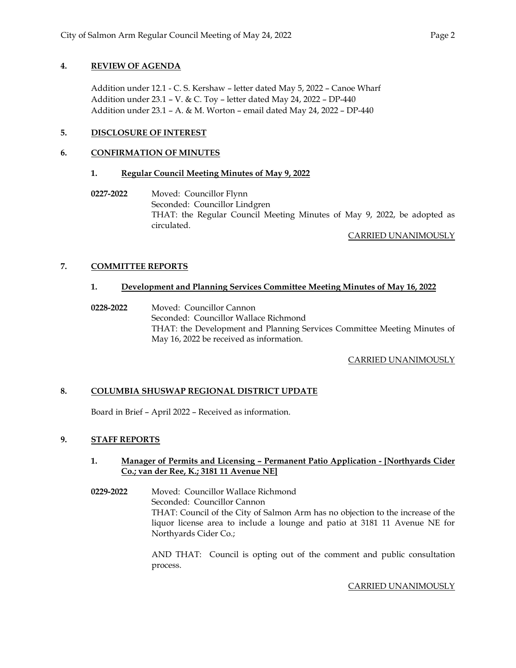## **4. REVIEW OF AGENDA**

Addition under 12.1 - C. S. Kershaw – letter dated May 5, 2022 – Canoe Wharf Addition under 23.1 – V. & C. Toy – letter dated May 24, 2022 – DP-440 Addition under 23.1 – A. & M. Worton – email dated May 24, 2022 – DP-440

## **5. DISCLOSURE OF INTEREST**

## **6. CONFIRMATION OF MINUTES**

## **1. Regular Council Meeting Minutes of May 9, 2022**

 **0227-2022** Moved: Councillor Flynn Seconded: Councillor Lindgren THAT: the Regular Council Meeting Minutes of May 9, 2022, be adopted as circulated.

CARRIED UNANIMOUSLY

## **7. COMMITTEE REPORTS**

## **1. Development and Planning Services Committee Meeting Minutes of May 16, 2022**

 **0228-2022** Moved: Councillor Cannon Seconded: Councillor Wallace Richmond THAT: the Development and Planning Services Committee Meeting Minutes of May 16, 2022 be received as information.

CARRIED UNANIMOUSLY

## **8. COLUMBIA SHUSWAP REGIONAL DISTRICT UPDATE**

Board in Brief – April 2022 – Received as information.

## **9. STAFF REPORTS**

#### **1. Manager of Permits and Licensing – Permanent Patio Application - [Northyards Cider Co.; van der Ree, K.; 3181 11 Avenue NE]**

**0229-2022** Moved: Councillor Wallace Richmond Seconded: Councillor Cannon THAT: Council of the City of Salmon Arm has no objection to the increase of the liquor license area to include a lounge and patio at 3181 11 Avenue NE for Northyards Cider Co.;

> AND THAT: Council is opting out of the comment and public consultation process.

> > CARRIED UNANIMOUSLY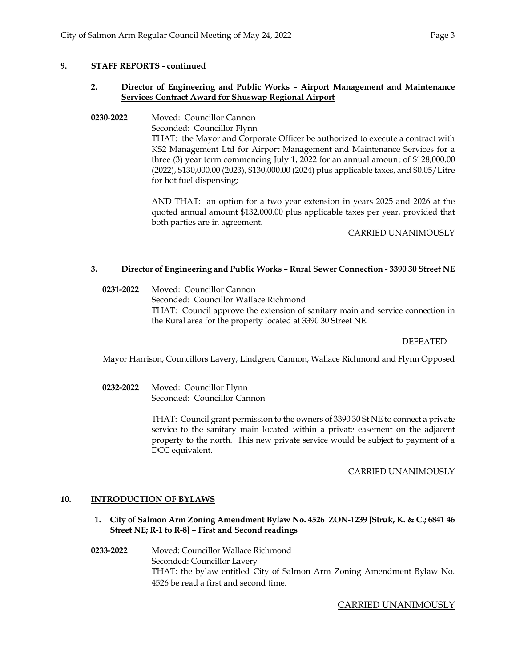#### **9. STAFF REPORTS - continued**

#### **2. Director of Engineering and Public Works – Airport Management and Maintenance Services Contract Award for Shuswap Regional Airport**

**0230-2022** Moved: Councillor Cannon Seconded: Councillor Flynn THAT: the Mayor and Corporate Officer be authorized to execute a contract with KS2 Management Ltd for Airport Management and Maintenance Services for a three (3) year term commencing July 1, 2022 for an annual amount of \$128,000.00 (2022), \$130,000.00 (2023), \$130,000.00 (2024) plus applicable taxes, and \$0.05/Litre for hot fuel dispensing;

> AND THAT: an option for a two year extension in years 2025 and 2026 at the quoted annual amount \$132,000.00 plus applicable taxes per year, provided that both parties are in agreement.

> > CARRIED UNANIMOUSLY

#### **3. Director of Engineering and Public Works – Rural Sewer Connection - 3390 30 Street NE**

**0231-2022** Moved: Councillor Cannon Seconded: Councillor Wallace Richmond THAT: Council approve the extension of sanitary main and service connection in the Rural area for the property located at 3390 30 Street NE.

## DEFEATED

Mayor Harrison, Councillors Lavery, Lindgren, Cannon, Wallace Richmond and Flynn Opposed

**0232-2022** Moved: Councillor Flynn Seconded: Councillor Cannon

> THAT: Council grant permission to the owners of 3390 30 St NE to connect a private service to the sanitary main located within a private easement on the adjacent property to the north. This new private service would be subject to payment of a DCC equivalent.

## CARRIED UNANIMOUSLY

#### **10. INTRODUCTION OF BYLAWS**

- **1. City of Salmon Arm Zoning Amendment Bylaw No. 4526 ZON-1239 [Struk, K. & C.; 6841 46 Street NE; R-1 to R-8] – First and Second readings**
- **0233-2022** Moved: Councillor Wallace Richmond Seconded: Councillor Lavery THAT: the bylaw entitled City of Salmon Arm Zoning Amendment Bylaw No. 4526 be read a first and second time.

## CARRIED UNANIMOUSLY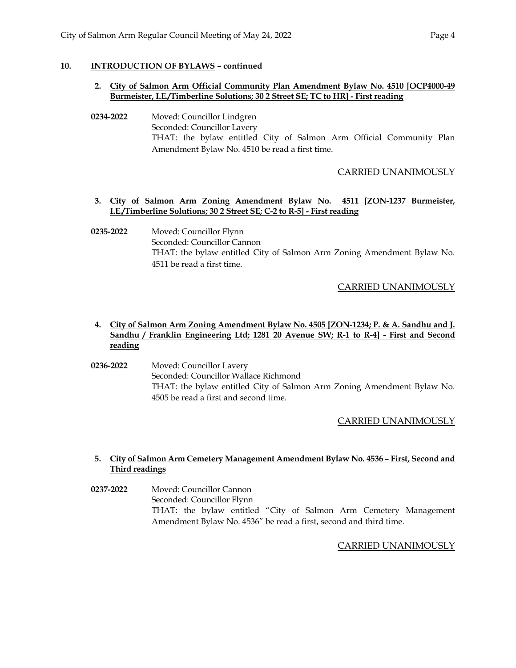## **10. INTRODUCTION OF BYLAWS – continued**

#### **2. City of Salmon Arm Official Community Plan Amendment Bylaw No. 4510 [OCP4000-49 Burmeister, I.E./Timberline Solutions; 30 2 Street SE; TC to HR] - First reading**

**0234-2022** Moved: Councillor Lindgren Seconded: Councillor Lavery THAT: the bylaw entitled City of Salmon Arm Official Community Plan Amendment Bylaw No. 4510 be read a first time.

## CARRIED UNANIMOUSLY

#### **3. City of Salmon Arm Zoning Amendment Bylaw No. 4511 [ZON-1237 Burmeister, I.E./Timberline Solutions; 30 2 Street SE; C-2 to R-5] - First reading**

## **0235-2022** Moved: Councillor Flynn Seconded: Councillor Cannon THAT: the bylaw entitled City of Salmon Arm Zoning Amendment Bylaw No. 4511 be read a first time.

## CARRIED UNANIMOUSLY

## **4. City of Salmon Arm Zoning Amendment Bylaw No. 4505 [ZON-1234; P. & A. Sandhu and J. Sandhu / Franklin Engineering Ltd; 1281 20 Avenue SW; R-1 to R-4] - First and Second reading**

**0236-2022** Moved: Councillor Lavery Seconded: Councillor Wallace Richmond THAT: the bylaw entitled City of Salmon Arm Zoning Amendment Bylaw No. 4505 be read a first and second time.

## CARRIED UNANIMOUSLY

## **5. City of Salmon Arm Cemetery Management Amendment Bylaw No. 4536 – First, Second and Third readings**

**0237-2022** Moved: Councillor Cannon Seconded: Councillor Flynn THAT: the bylaw entitled "City of Salmon Arm Cemetery Management Amendment Bylaw No. 4536" be read a first, second and third time.

CARRIED UNANIMOUSLY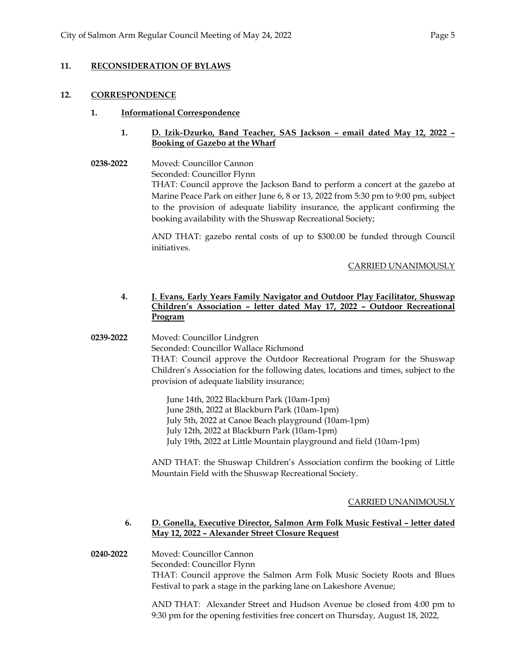## **11. RECONSIDERATION OF BYLAWS**

#### **12. CORRESPONDENCE**

#### **1. Informational Correspondence**

## **1. D. Izik-Dzurko, Band Teacher, SAS Jackson – email dated May 12, 2022 – Booking of Gazebo at the Wharf**

**0238-2022** Moved: Councillor Cannon Seconded: Councillor Flynn THAT: Council approve the Jackson Band to perform a concert at the gazebo at Marine Peace Park on either June 6, 8 or 13, 2022 from 5:30 pm to 9:00 pm, subject to the provision of adequate liability insurance, the applicant confirming the booking availability with the Shuswap Recreational Society;

> AND THAT: gazebo rental costs of up to \$300.00 be funded through Council initiatives.

#### CARRIED UNANIMOUSLY

## **4. J. Evans, Early Years Family Navigator and Outdoor Play Facilitator, Shuswap Children's Association – letter dated May 17, 2022 – Outdoor Recreational Program**

**0239-2022** Moved: Councillor Lindgren

 Seconded: Councillor Wallace Richmond THAT: Council approve the Outdoor Recreational Program for the Shuswap Children's Association for the following dates, locations and times, subject to the provision of adequate liability insurance;

June 14th, 2022 Blackburn Park (10am-1pm) June 28th, 2022 at Blackburn Park (10am-1pm) July 5th, 2022 at Canoe Beach playground (10am-1pm) July 12th, 2022 at Blackburn Park (10am-1pm) July 19th, 2022 at Little Mountain playground and field (10am-1pm)

AND THAT: the Shuswap Children's Association confirm the booking of Little Mountain Field with the Shuswap Recreational Society.

## CARRIED UNANIMOUSLY

#### **6. D. Gonella, Executive Director, Salmon Arm Folk Music Festival – letter dated May 12, 2022 – Alexander Street Closure Request**

 **0240-2022** Moved: Councillor Cannon Seconded: Councillor Flynn THAT: Council approve the Salmon Arm Folk Music Society Roots and Blues Festival to park a stage in the parking lane on Lakeshore Avenue;

> AND THAT: Alexander Street and Hudson Avenue be closed from 4:00 pm to 9:30 pm for the opening festivities free concert on Thursday, August 18, 2022,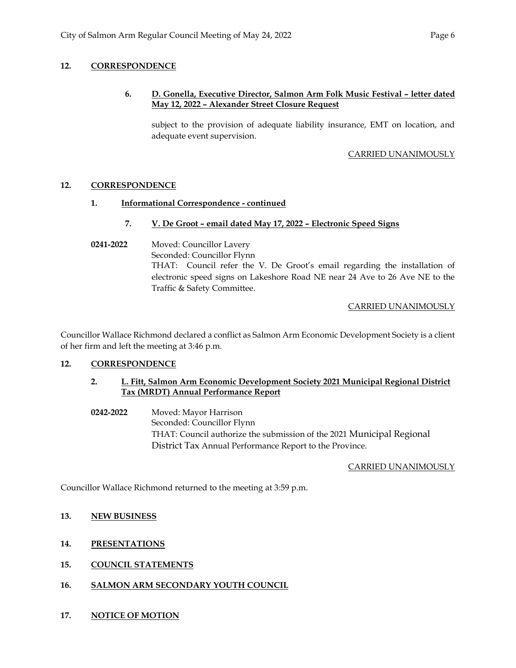## **12. CORRESPONDENCE**

## **6. D. Gonella, Executive Director, Salmon Arm Folk Music Festival – letter dated May 12, 2022 – Alexander Street Closure Request**

subject to the provision of adequate liability insurance, EMT on location, and adequate event supervision.

#### CARRIED UNANIMOUSLY

## **12. CORRESPONDENCE**

## **1. Informational Correspondence - continued**

## **7. V. De Groot – email dated May 17, 2022 – Electronic Speed Signs**

# **0241-2022** Moved: Councillor Lavery Seconded: Councillor Flynn THAT: Council refer the V. De Groot's email regarding the installation of electronic speed signs on Lakeshore Road NE near 24 Ave to 26 Ave NE to the Traffic & Safety Committee.

## CARRIED UNANIMOUSLY

Councillor Wallace Richmond declared a conflict as Salmon Arm Economic Development Society is a client of her firm and left the meeting at 3:46 p.m.

## **12. CORRESPONDENCE**

## **2. L. Fitt, Salmon Arm Economic Development Society 2021 Municipal Regional District Tax (MRDT) Annual Performance Report**

 **0242-2022** Moved: Mayor Harrison Seconded: Councillor Flynn THAT: Council authorize the submission of the 2021 Municipal Regional District Tax Annual Performance Report to the Province.

## CARRIED UNANIMOUSLY

Councillor Wallace Richmond returned to the meeting at 3:59 p.m.

## **13. NEW BUSINESS**

## **14. PRESENTATIONS**

- **15. COUNCIL STATEMENTS**
- **16. SALMON ARM SECONDARY YOUTH COUNCIL**
- **17. NOTICE OF MOTION**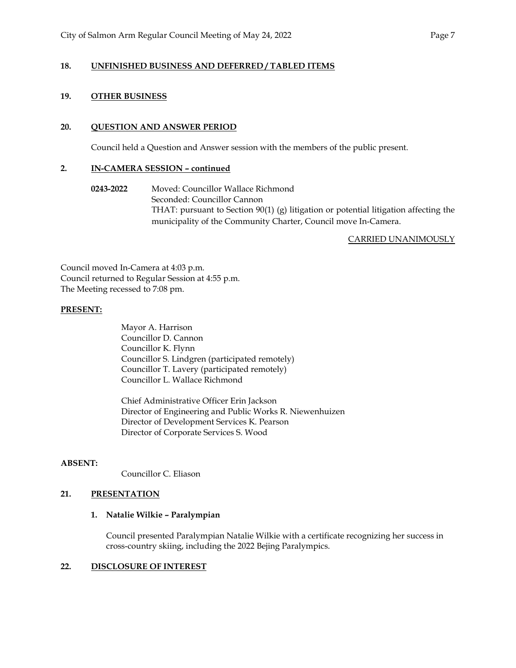## **18. UNFINISHED BUSINESS AND DEFERRED / TABLED ITEMS**

#### **19. OTHER BUSINESS**

#### **20. QUESTION AND ANSWER PERIOD**

Council held a Question and Answer session with the members of the public present.

#### **2. IN-CAMERA SESSION – continued**

**0243-2022** Moved: Councillor Wallace Richmond Seconded: Councillor Cannon THAT: pursuant to Section 90(1) (g) litigation or potential litigation affecting the municipality of the Community Charter, Council move In-Camera.

CARRIED UNANIMOUSLY

Council moved In-Camera at 4:03 p.m. Council returned to Regular Session at 4:55 p.m. The Meeting recessed to 7:08 pm.

#### **PRESENT:**

Mayor A. Harrison Councillor D. Cannon Councillor K. Flynn Councillor S. Lindgren (participated remotely) Councillor T. Lavery (participated remotely) Councillor L. Wallace Richmond

 Chief Administrative Officer Erin Jackson Director of Engineering and Public Works R. Niewenhuizen Director of Development Services K. Pearson Director of Corporate Services S. Wood

#### **ABSENT:**

Councillor C. Eliason

## **21. PRESENTATION**

#### **1. Natalie Wilkie – Paralympian**

Council presented Paralympian Natalie Wilkie with a certificate recognizing her success in cross-country skiing, including the 2022 Bejing Paralympics.

#### **22. DISCLOSURE OF INTEREST**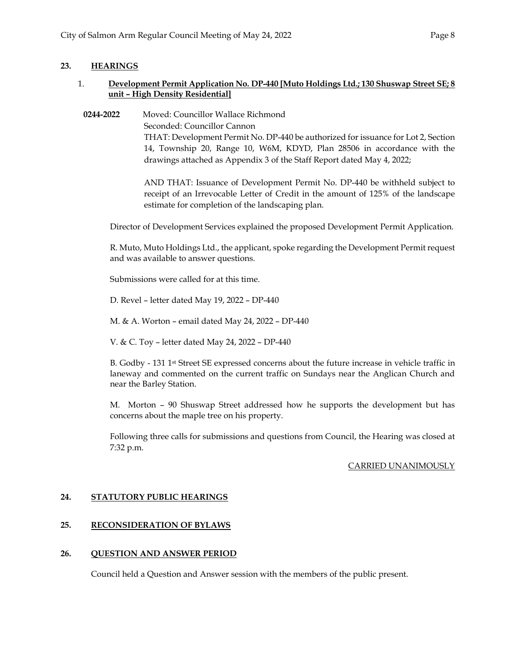#### **23. HEARINGS**

#### 1. **Development Permit Application No. DP-440 [Muto Holdings Ltd.; 130 Shuswap Street SE; 8 unit – High Density Residential]**

**0244-2022** Moved: Councillor Wallace Richmond Seconded: Councillor Cannon THAT: Development Permit No. DP-440 be authorized for issuance for Lot 2, Section 14, Township 20, Range 10, W6M, KDYD, Plan 28506 in accordance with the drawings attached as Appendix 3 of the Staff Report dated May 4, 2022;

> AND THAT: Issuance of Development Permit No. DP-440 be withheld subject to receipt of an Irrevocable Letter of Credit in the amount of 125% of the landscape estimate for completion of the landscaping plan.

Director of Development Services explained the proposed Development Permit Application.

R. Muto, Muto Holdings Ltd., the applicant, spoke regarding the Development Permit request and was available to answer questions.

Submissions were called for at this time.

D. Revel – letter dated May 19, 2022 – DP-440

M. & A. Worton – email dated May 24, 2022 – DP-440

V. & C. Toy – letter dated May 24, 2022 – DP-440

B. Godby - 131 1<sup>st</sup> Street SE expressed concerns about the future increase in vehicle traffic in laneway and commented on the current traffic on Sundays near the Anglican Church and near the Barley Station.

M. Morton – 90 Shuswap Street addressed how he supports the development but has concerns about the maple tree on his property.

Following three calls for submissions and questions from Council, the Hearing was closed at 7:32 p.m.

#### CARRIED UNANIMOUSLY

#### **24. STATUTORY PUBLIC HEARINGS**

#### **25. RECONSIDERATION OF BYLAWS**

#### **26. QUESTION AND ANSWER PERIOD**

Council held a Question and Answer session with the members of the public present.